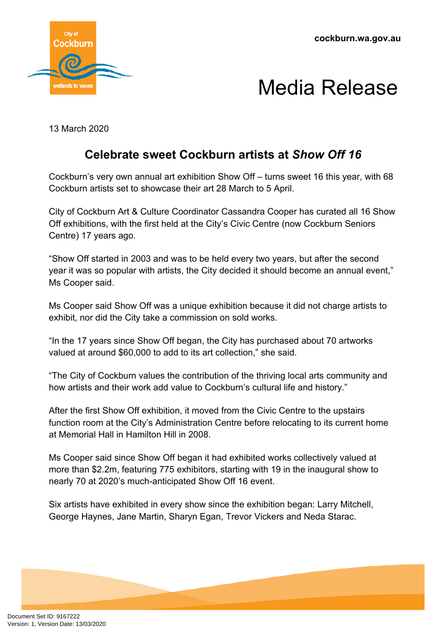**cockburn.wa.gov.au**



## Media Release

13 March 2020

## **Celebrate sweet Cockburn artists at** *Show Off 16*

Cockburn's very own annual art exhibition Show Off – turns sweet 16 this year, with 68 Cockburn artists set to showcase their art 28 March to 5 April.

City of Cockburn Art & Culture Coordinator Cassandra Cooper has curated all 16 Show Off exhibitions, with the first held at the City's Civic Centre (now Cockburn Seniors Centre) 17 years ago.

"Show Off started in 2003 and was to be held every two years, but after the second year it was so popular with artists, the City decided it should become an annual event," Ms Cooper said.

Ms Cooper said Show Off was a unique exhibition because it did not charge artists to exhibit, nor did the City take a commission on sold works.

"In the 17 years since Show Off began, the City has purchased about 70 artworks valued at around \$60,000 to add to its art collection," she said.

"The City of Cockburn values the contribution of the thriving local arts community and how artists and their work add value to Cockburn's cultural life and history."

After the first Show Off exhibition, it moved from the Civic Centre to the upstairs function room at the City's Administration Centre before relocating to its current home at Memorial Hall in Hamilton Hill in 2008.

Ms Cooper said since Show Off began it had exhibited works collectively valued at more than \$2.2m, featuring 775 exhibitors, starting with 19 in the inaugural show to nearly 70 at 2020's much-anticipated Show Off 16 event.

Six artists have exhibited in every show since the exhibition began: Larry Mitchell, George Haynes, Jane Martin, Sharyn Egan, Trevor Vickers and Neda Starac.